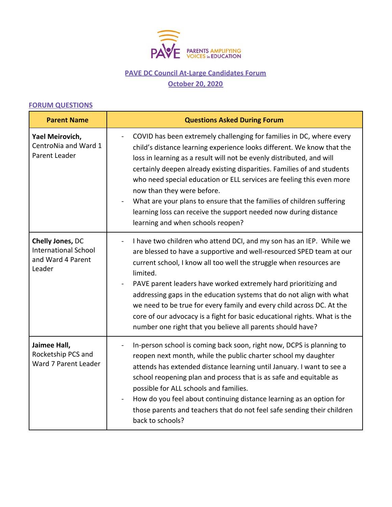

## **PAVE DC Council At-Large Candidates Forum October 20, 2020**

## **FORUM QUESTIONS**

| <b>Parent Name</b>                                                             | <b>Questions Asked During Forum</b>                                                                                                                                                                                                                                                                                                                                                                                                                                                                                                                                                                             |  |
|--------------------------------------------------------------------------------|-----------------------------------------------------------------------------------------------------------------------------------------------------------------------------------------------------------------------------------------------------------------------------------------------------------------------------------------------------------------------------------------------------------------------------------------------------------------------------------------------------------------------------------------------------------------------------------------------------------------|--|
| Yael Meirovich,<br>CentroNia and Ward 1<br>Parent Leader                       | COVID has been extremely challenging for families in DC, where every<br>child's distance learning experience looks different. We know that the<br>loss in learning as a result will not be evenly distributed, and will<br>certainly deepen already existing disparities. Families of and students<br>who need special education or ELL services are feeling this even more<br>now than they were before.<br>What are your plans to ensure that the families of children suffering<br>learning loss can receive the support needed now during distance<br>learning and when schools reopen?                     |  |
| Chelly Jones, DC<br><b>International School</b><br>and Ward 4 Parent<br>Leader | I have two children who attend DCI, and my son has an IEP. While we<br>$\blacksquare$<br>are blessed to have a supportive and well-resourced SPED team at our<br>current school, I know all too well the struggle when resources are<br>limited.<br>PAVE parent leaders have worked extremely hard prioritizing and<br>addressing gaps in the education systems that do not align with what<br>we need to be true for every family and every child across DC. At the<br>core of our advocacy is a fight for basic educational rights. What is the<br>number one right that you believe all parents should have? |  |
| Jaimee Hall,<br>Rocketship PCS and<br>Ward 7 Parent Leader                     | In-person school is coming back soon, right now, DCPS is planning to<br>reopen next month, while the public charter school my daughter<br>attends has extended distance learning until January. I want to see a<br>school reopening plan and process that is as safe and equitable as<br>possible for ALL schools and families.<br>How do you feel about continuing distance learning as an option for<br>those parents and teachers that do not feel safe sending their children<br>back to schools?                                                                                                           |  |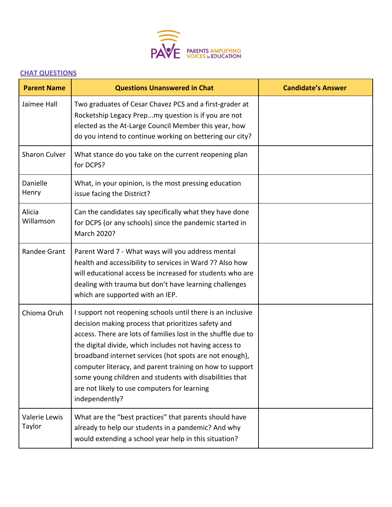

## **CHAT QUESTIONS**

| <b>Parent Name</b>      | <b>Questions Unanswered in Chat</b>                                                                                                                                                                                                                                                                                                                                                                                                                                                                | <b>Candidate's Answer</b> |
|-------------------------|----------------------------------------------------------------------------------------------------------------------------------------------------------------------------------------------------------------------------------------------------------------------------------------------------------------------------------------------------------------------------------------------------------------------------------------------------------------------------------------------------|---------------------------|
| Jaimee Hall             | Two graduates of Cesar Chavez PCS and a first-grader at<br>Rocketship Legacy Prepmy question is if you are not<br>elected as the At-Large Council Member this year, how<br>do you intend to continue working on bettering our city?                                                                                                                                                                                                                                                                |                           |
| Sharon Culver           | What stance do you take on the current reopening plan<br>for DCPS?                                                                                                                                                                                                                                                                                                                                                                                                                                 |                           |
| Danielle<br>Henry       | What, in your opinion, is the most pressing education<br>issue facing the District?                                                                                                                                                                                                                                                                                                                                                                                                                |                           |
| Alicia<br>Willamson     | Can the candidates say specifically what they have done<br>for DCPS (or any schools) since the pandemic started in<br>March 2020?                                                                                                                                                                                                                                                                                                                                                                  |                           |
| Randee Grant            | Parent Ward 7 - What ways will you address mental<br>health and accessibility to services in Ward 7? Also how<br>will educational access be increased for students who are<br>dealing with trauma but don't have learning challenges<br>which are supported with an IEP.                                                                                                                                                                                                                           |                           |
| Chioma Oruh             | I support not reopening schools until there is an inclusive<br>decision making process that prioritizes safety and<br>access. There are lots of families lost in the shuffle due to<br>the digital divide, which includes not having access to<br>broadband internet services (hot spots are not enough),<br>computer literacy, and parent training on how to support<br>some young children and students with disabilities that<br>are not likely to use computers for learning<br>independently? |                           |
| Valerie Lewis<br>Taylor | What are the "best practices" that parents should have<br>already to help our students in a pandemic? And why<br>would extending a school year help in this situation?                                                                                                                                                                                                                                                                                                                             |                           |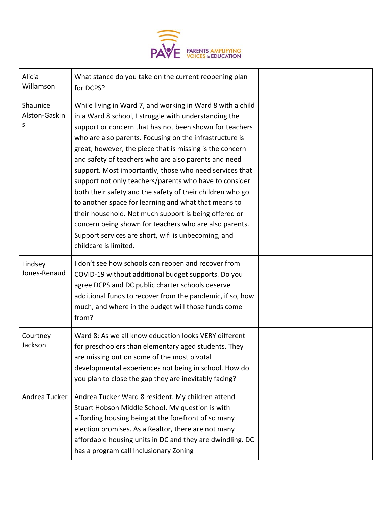

| Alicia<br>Willamson            | What stance do you take on the current reopening plan<br>for DCPS?                                                                                                                                                                                                                                                                                                                                                                                                                                                                                                                                                                                                                                                                                                                                         |  |
|--------------------------------|------------------------------------------------------------------------------------------------------------------------------------------------------------------------------------------------------------------------------------------------------------------------------------------------------------------------------------------------------------------------------------------------------------------------------------------------------------------------------------------------------------------------------------------------------------------------------------------------------------------------------------------------------------------------------------------------------------------------------------------------------------------------------------------------------------|--|
| Shaunice<br>Alston-Gaskin<br>S | While living in Ward 7, and working in Ward 8 with a child<br>in a Ward 8 school, I struggle with understanding the<br>support or concern that has not been shown for teachers<br>who are also parents. Focusing on the infrastructure is<br>great; however, the piece that is missing is the concern<br>and safety of teachers who are also parents and need<br>support. Most importantly, those who need services that<br>support not only teachers/parents who have to consider<br>both their safety and the safety of their children who go<br>to another space for learning and what that means to<br>their household. Not much support is being offered or<br>concern being shown for teachers who are also parents.<br>Support services are short, wifi is unbecoming, and<br>childcare is limited. |  |
| Lindsey<br>Jones-Renaud        | I don't see how schools can reopen and recover from<br>COVID-19 without additional budget supports. Do you<br>agree DCPS and DC public charter schools deserve<br>additional funds to recover from the pandemic, if so, how<br>much, and where in the budget will those funds come<br>from?                                                                                                                                                                                                                                                                                                                                                                                                                                                                                                                |  |
| Courtney<br>Jackson            | Ward 8: As we all know education looks VERY different<br>for preschoolers than elementary aged students. They<br>are missing out on some of the most pivotal<br>developmental experiences not being in school. How do<br>you plan to close the gap they are inevitably facing?                                                                                                                                                                                                                                                                                                                                                                                                                                                                                                                             |  |
| Andrea Tucker                  | Andrea Tucker Ward 8 resident. My children attend<br>Stuart Hobson Middle School. My question is with<br>affording housing being at the forefront of so many<br>election promises. As a Realtor, there are not many<br>affordable housing units in DC and they are dwindling. DC<br>has a program call Inclusionary Zoning                                                                                                                                                                                                                                                                                                                                                                                                                                                                                 |  |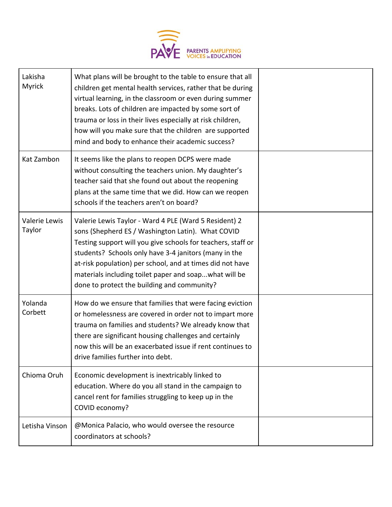

| Lakisha<br>Myrick       | What plans will be brought to the table to ensure that all<br>children get mental health services, rather that be during<br>virtual learning, in the classroom or even during summer<br>breaks. Lots of children are impacted by some sort of<br>trauma or loss in their lives especially at risk children,<br>how will you make sure that the children are supported<br>mind and body to enhance their academic success? |  |
|-------------------------|---------------------------------------------------------------------------------------------------------------------------------------------------------------------------------------------------------------------------------------------------------------------------------------------------------------------------------------------------------------------------------------------------------------------------|--|
| Kat Zambon              | It seems like the plans to reopen DCPS were made<br>without consulting the teachers union. My daughter's<br>teacher said that she found out about the reopening<br>plans at the same time that we did. How can we reopen<br>schools if the teachers aren't on board?                                                                                                                                                      |  |
| Valerie Lewis<br>Taylor | Valerie Lewis Taylor - Ward 4 PLE (Ward 5 Resident) 2<br>sons (Shepherd ES / Washington Latin). What COVID<br>Testing support will you give schools for teachers, staff or<br>students? Schools only have 3-4 janitors (many in the<br>at-risk population) per school, and at times did not have<br>materials including toilet paper and soapwhat will be<br>done to protect the building and community?                  |  |
| Yolanda<br>Corbett      | How do we ensure that families that were facing eviction<br>or homelessness are covered in order not to impart more<br>trauma on families and students? We already know that<br>there are significant housing challenges and certainly<br>now this will be an exacerbated issue if rent continues to<br>drive families further into debt.                                                                                 |  |
| Chioma Oruh             | Economic development is inextricably linked to<br>education. Where do you all stand in the campaign to<br>cancel rent for families struggling to keep up in the<br>COVID economy?                                                                                                                                                                                                                                         |  |
| Letisha Vinson          | @Monica Palacio, who would oversee the resource<br>coordinators at schools?                                                                                                                                                                                                                                                                                                                                               |  |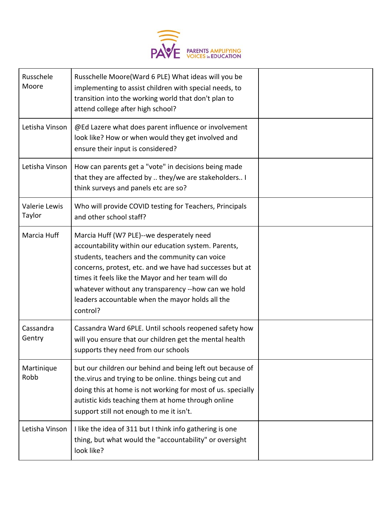

| Russchele<br>Moore      | Russchelle Moore(Ward 6 PLE) What ideas will you be<br>implementing to assist children with special needs, to<br>transition into the working world that don't plan to<br>attend college after high school?                                                                                                                                                                                   |  |
|-------------------------|----------------------------------------------------------------------------------------------------------------------------------------------------------------------------------------------------------------------------------------------------------------------------------------------------------------------------------------------------------------------------------------------|--|
| Letisha Vinson          | @Ed Lazere what does parent influence or involvement<br>look like? How or when would they get involved and<br>ensure their input is considered?                                                                                                                                                                                                                                              |  |
| Letisha Vinson          | How can parents get a "vote" in decisions being made<br>that they are affected by  they/we are stakeholders I<br>think surveys and panels etc are so?                                                                                                                                                                                                                                        |  |
| Valerie Lewis<br>Taylor | Who will provide COVID testing for Teachers, Principals<br>and other school staff?                                                                                                                                                                                                                                                                                                           |  |
| Marcia Huff             | Marcia Huff (W7 PLE)--we desperately need<br>accountability within our education system. Parents,<br>students, teachers and the community can voice<br>concerns, protest, etc. and we have had successes but at<br>times it feels like the Mayor and her team will do<br>whatever without any transparency --how can we hold<br>leaders accountable when the mayor holds all the<br>control? |  |
| Cassandra<br>Gentry     | Cassandra Ward 6PLE. Until schools reopened safety how<br>will you ensure that our children get the mental health<br>supports they need from our schools                                                                                                                                                                                                                                     |  |
| Martinique<br>Robb      | but our children our behind and being left out because of<br>the virus and trying to be online. things being cut and<br>doing this at home is not working for most of us. specially<br>autistic kids teaching them at home through online<br>support still not enough to me it isn't.                                                                                                        |  |
| Letisha Vinson          | I like the idea of 311 but I think info gathering is one<br>thing, but what would the "accountability" or oversight<br>look like?                                                                                                                                                                                                                                                            |  |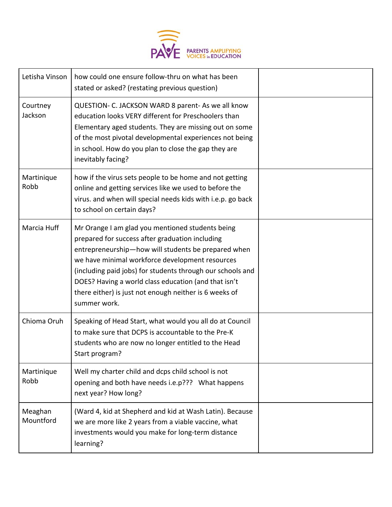

| Letisha Vinson       | how could one ensure follow-thru on what has been<br>stated or asked? (restating previous question)                                                                                                                                                                                                                                                                                                           |  |
|----------------------|---------------------------------------------------------------------------------------------------------------------------------------------------------------------------------------------------------------------------------------------------------------------------------------------------------------------------------------------------------------------------------------------------------------|--|
| Courtney<br>Jackson  | QUESTION- C. JACKSON WARD 8 parent- As we all know<br>education looks VERY different for Preschoolers than<br>Elementary aged students. They are missing out on some<br>of the most pivotal developmental experiences not being<br>in school. How do you plan to close the gap they are<br>inevitably facing?                                                                                                 |  |
| Martinique<br>Robb   | how if the virus sets people to be home and not getting<br>online and getting services like we used to before the<br>virus. and when will special needs kids with i.e.p. go back<br>to school on certain days?                                                                                                                                                                                                |  |
| Marcia Huff          | Mr Orange I am glad you mentioned students being<br>prepared for success after graduation including<br>entrepreneurship-how will students be prepared when<br>we have minimal workforce development resources<br>(including paid jobs) for students through our schools and<br>DOES? Having a world class education (and that isn't<br>there either) is just not enough neither is 6 weeks of<br>summer work. |  |
| Chioma Oruh          | Speaking of Head Start, what would you all do at Council<br>to make sure that DCPS is accountable to the Pre-K<br>students who are now no longer entitled to the Head<br>Start program?                                                                                                                                                                                                                       |  |
| Martinique<br>Robb   | Well my charter child and dcps child school is not<br>opening and both have needs i.e.p??? What happens<br>next year? How long?                                                                                                                                                                                                                                                                               |  |
| Meaghan<br>Mountford | (Ward 4, kid at Shepherd and kid at Wash Latin). Because<br>we are more like 2 years from a viable vaccine, what<br>investments would you make for long-term distance<br>learning?                                                                                                                                                                                                                            |  |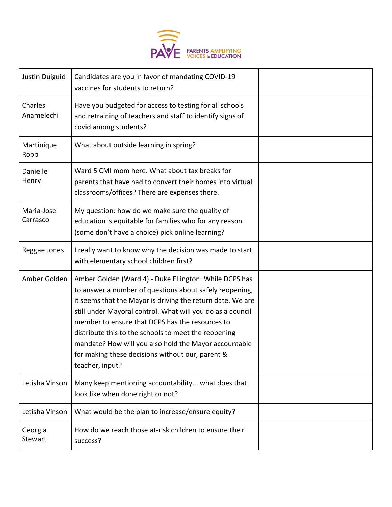

| Justin Duiguid            | Candidates are you in favor of mandating COVID-19<br>vaccines for students to return?                                                                                                                                                                                                                                                                                                                                                                                                    |  |
|---------------------------|------------------------------------------------------------------------------------------------------------------------------------------------------------------------------------------------------------------------------------------------------------------------------------------------------------------------------------------------------------------------------------------------------------------------------------------------------------------------------------------|--|
| Charles<br>Anamelechi     | Have you budgeted for access to testing for all schools<br>and retraining of teachers and staff to identify signs of<br>covid among students?                                                                                                                                                                                                                                                                                                                                            |  |
| Martinique<br>Robb        | What about outside learning in spring?                                                                                                                                                                                                                                                                                                                                                                                                                                                   |  |
| Danielle<br>Henry         | Ward 5 CMI mom here. What about tax breaks for<br>parents that have had to convert their homes into virtual<br>classrooms/offices? There are expenses there.                                                                                                                                                                                                                                                                                                                             |  |
| Maria-Jose<br>Carrasco    | My question: how do we make sure the quality of<br>education is equitable for families who for any reason<br>(some don't have a choice) pick online learning?                                                                                                                                                                                                                                                                                                                            |  |
| Reggae Jones              | I really want to know why the decision was made to start<br>with elementary school children first?                                                                                                                                                                                                                                                                                                                                                                                       |  |
| Amber Golden              | Amber Golden (Ward 4) - Duke Ellington: While DCPS has<br>to answer a number of questions about safely reopening,<br>it seems that the Mayor is driving the return date. We are<br>still under Mayoral control. What will you do as a council<br>member to ensure that DCPS has the resources to<br>distribute this to the schools to meet the reopening<br>mandate? How will you also hold the Mayor accountable<br>for making these decisions without our, parent &<br>teacher, input? |  |
| Letisha Vinson            | Many keep mentioning accountability what does that<br>look like when done right or not?                                                                                                                                                                                                                                                                                                                                                                                                  |  |
| Letisha Vinson            | What would be the plan to increase/ensure equity?                                                                                                                                                                                                                                                                                                                                                                                                                                        |  |
| Georgia<br><b>Stewart</b> | How do we reach those at-risk children to ensure their<br>success?                                                                                                                                                                                                                                                                                                                                                                                                                       |  |